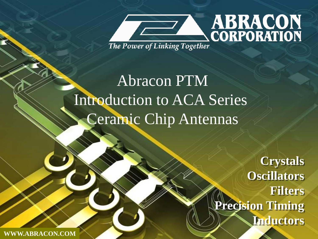

# Abracon PTM Introduction to ACA Series Ceramic Chip Antennas

**Crystals Oscillators Filters Precision Timing Inductors**

**WWW.ABRACON.COM**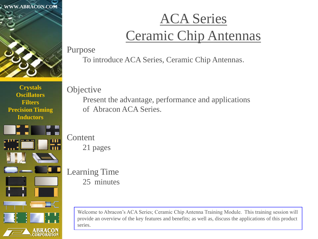



## ACA Series Ceramic Chip Antennas

Purpose

To introduce ACA Series, Ceramic Chip Antennas.

**Objective** 

Present the advantage, performance and applications of Abracon ACA Series.

Content 21 pages

Learning Time 25 minutes

> Welcome to Abracon's ACA Series; Ceramic Chip Antenna Training Module. This training session will provide an overview of the key features and benefits; as well as, discuss the applications of this product series.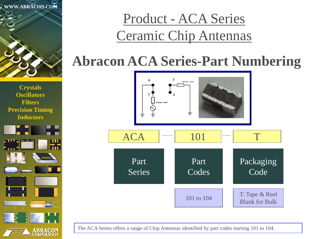



## Product - ACA Series Ceramic Chip Antennas

## **Abracon ACA Series-Part Numbering**



The ACA Series offers a range of Chip Antennas identified by part codes starting 101 to 104.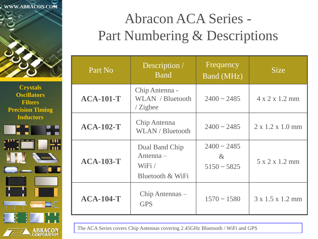



## Abracon ACA Series - Part Numbering & Descriptions

| Part No          | Description /<br><b>B</b> and                           | Frequency<br>Band (MHz)                   | <b>Size</b>                  |  |  |
|------------------|---------------------------------------------------------|-------------------------------------------|------------------------------|--|--|
| <b>ACA-101-T</b> | Chip Antenna -<br>WLAN / Bluetooth<br>$\angle$ Zigbee   | $2400 \sim 2485$                          | $4 \times 2 \times 1.2$ mm   |  |  |
| $ACA-102-T$      | Chip Antenna<br>WLAN / Bluetooth                        | $2400 \sim 2485$                          | $2 \times 1.2 \times 1.0$ mm |  |  |
| <b>ACA-103-T</b> | Dual Band Chip<br>Antenna-<br>WiFi/<br>Bluetooth & WiFi | $2400 \sim 2485$<br>$\&$<br>$5150 - 5825$ | $5 \times 2 \times 1.2$ mm   |  |  |
| $ACA-104-T$      | Chip Antennas –<br><b>GPS</b>                           | $1570 \sim 1580$                          | $3 \times 1.5 \times 1.2$ mm |  |  |

The ACA Series covers Chip Antennas covering 2.45GHz Bluetooth / WiFi and GPS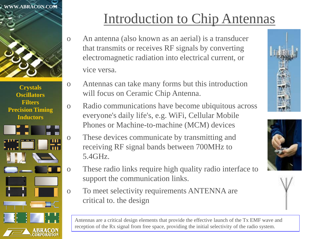



## Introduction to Chip Antennas

- o An antenna (also known as an aerial) is a transducer that transmits or receives RF signals by converting electromagnetic radiation into electrical current, or vice versa.
- o Antennas can take many forms but this introduction will focus on Ceramic Chip Antenna.
- o Radio communications have become ubiquitous across everyone's daily life's, e.g. WiFi, Cellular Mobile Phones or Machine-to-machine (MCM) devices
- o These devices communicate by transmitting and receiving RF signal bands between 700MHz to 5.4GHz.
- o These radio links require high quality radio interface to support the communication links.
- o To meet selectivity requirements ANTENNA are critical to. the design

Antennas are a critical design elements that provide the effective launch of the Tx EMF wave and reception of the Rx signal from free space, providing the initial selectivity of the radio system.





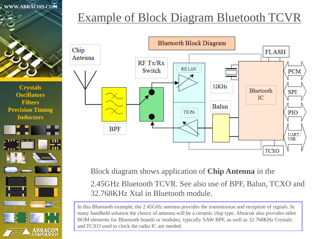



### Example of Block Diagram Bluetooth TCVR



Block diagram shows application of **Chip Antenna** in the

 2.45GHz Bluetooth TCVR. See also use of BPF, Balun, TCXO and 32.768KHz Xtal in Bluetooth module.

In this Bluetooth example, the 2.45GHz antenna provides the transmission and reception of signals. In many handheld solution the choice of antenna will be a ceramic chip type. Abracon also provides other BOM elements for Bluetooth boards or modules; typically SAW BPF, as well as 32.768KHz Crystals and TCXO used to clock the radio IC are needed.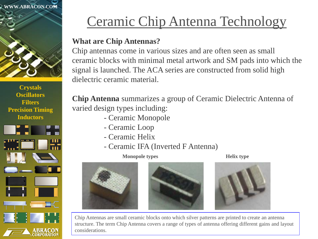



## Ceramic Chip Antenna Technology

#### **What are Chip Antennas?**

Chip antennas come in various sizes and are often seen as small ceramic blocks with minimal metal artwork and SM pads into which the signal is launched. The ACA series are constructed from solid high dielectric ceramic material.

**Chip Antenna** summarizes a group of Ceramic Dielectric Antenna of varied design types including:

- Ceramic Monopole
- Ceramic Loop
- Ceramic Helix
- Ceramic IFA (Inverted F Antenna)

**Monopole types Helix type** 







Chip Antennas are small ceramic blocks onto which silver patterns are printed to create an antenna structure. The term Chip Antenna covers a range of types of antenna offering different gains and layout considerations.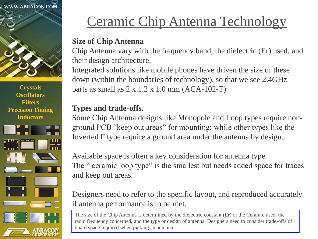



## Ceramic Chip Antenna Technology

#### **Size of Chip Antenna**

Chip Antenna vary with the frequency band, the dielectric (Er) used, and their design architecture.

Integrated solutions like mobile phones have driven the size of these down (within the boundaries of technology), so that we see 2.4GHz parts as small as  $2 \times 1.2 \times 1.0$  mm (ACA-102-T)

#### **Types and trade-offs.**

Some Chip Antenna designs like Monopole and Loop types require nonground PCB "keep out areas" for mounting; while other types like the Inverted F type require a ground area under the antenna by design.

Available space is often a key consideration for antenna type. The " ceramic loop type" is the smallest but needs added space for traces and keep out areas.

Designers need to refer to the specific layout, and reproduced accurately if antenna performance is to be met.

The size of the Chip Antenna is determined by the dielectric constant (Er) of the Ceramic used, the radio frequency concerned, and the type or design of antenna. Designers need to consider trade-offs of board space required when picking an antenna.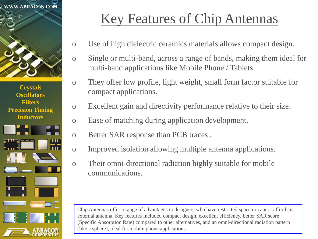



- o Use of high dielectric ceramics materials allows compact design.
- o Single or multi-band, across a range of bands, making them ideal for multi-band applications like Mobile Phone / Tablets.
- o They offer low profile, light weight, small form factor suitable for compact applications.
- o Excellent gain and directivity performance relative to their size.
- o Ease of matching during application development.
- o Better SAR response than PCB traces .
- o Improved isolation allowing multiple antenna applications.
- o Their omni-directional radiation highly suitable for mobile communications.

Chip Antennas offer a range of advantages to designers who have restricted space or cannot afford an external antenna. Key features included compact design, excellent efficiency, better SAR score (Specific Absorption Rate) compared to other alternatives, and an omni-directional radiation pattern (like a sphere), ideal for mobile phone applications.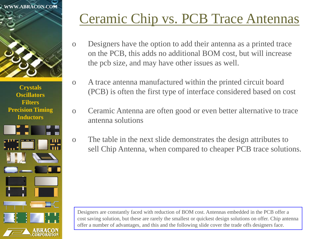



## Ceramic Chip vs. PCB Trace Antennas

- o Designers have the option to add their antenna as a printed trace on the PCB, this adds no additional BOM cost, but will increase the pcb size, and may have other issues as well.
- o A trace antenna manufactured within the printed circuit board (PCB) is often the first type of interface considered based on cost
- o Ceramic Antenna are often good or even better alternative to trace antenna solutions
- o The table in the next slide demonstrates the design attributes to sell Chip Antenna, when compared to cheaper PCB trace solutions.

Designers are constantly faced with reduction of BOM cost. Antennas embedded in the PCB offer a cost saving solution, but these are rarely the smallest or quickest design solutions on offer. Chip antenna offer a number of advantages, and this and the following slide cover the trade offs designers face.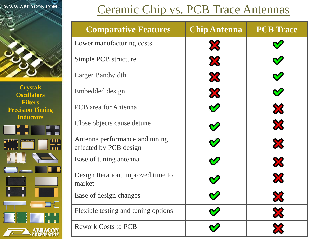



### Ceramic Chip vs. PCB Trace Antennas

| <b>Comparative Features</b>                              | <b>Chip Antenna</b>       | <b>PCB</b> Trace      |
|----------------------------------------------------------|---------------------------|-----------------------|
| Lower manufacturing costs                                | $\boldsymbol{\mathsf{X}}$ |                       |
| Simple PCB structure                                     | X                         |                       |
| Larger Bandwidth                                         | X                         |                       |
| Embedded design                                          | X                         |                       |
| <b>PCB</b> area for Antenna                              |                           | X                     |
| Close objects cause detune                               |                           | ${\bf x}$             |
| Antenna performance and tuning<br>affected by PCB design |                           | ${\bf x}$             |
| Ease of tuning antenna                                   |                           | X                     |
| Design Iteration, improved time to<br>market             |                           | X                     |
| Ease of design changes                                   |                           | $\boldsymbol{\aleph}$ |
| Flexible testing and tuning options                      |                           | X                     |
| <b>Rework Costs to PCB</b>                               |                           |                       |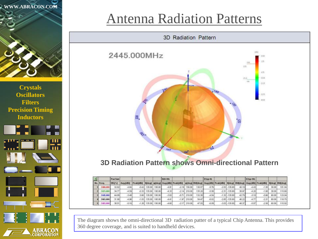



### Antenna Radiation Patterns



#### **3D Radiation Pattern shows Omni-directional Pattern**

| 国                |          | <b>PwrSunt</b> |                     |          |         |        | <b>H(8-98)</b> |                                   |        |        | $E1(\phi - \theta)$ |                                                                                    |                   |       | E2(p-98) |         |       |        |
|------------------|----------|----------------|---------------------|----------|---------|--------|----------------|-----------------------------------|--------|--------|---------------------|------------------------------------------------------------------------------------|-------------------|-------|----------|---------|-------|--------|
| <b>Ho.</b> Freq. |          | Ent.[%]        | Ava.[dbi] Peak[dbi] |          |         |        |                | Mdeg   p[deg] Avg.[dBi] Peak[dBi] |        |        |                     | pidegi BW(degi Avg.[dBi] Peak[dBi] Mdegi BW(degi Avg.[dBi] Peak[dBi] Mdegi BW(degi |                   |       |          |         |       |        |
|                  | 2400,000 | 32.82          | $-4.84$             | $-0.42$  | 135.00  | 195.00 | $-4.91$        | $-2.19$                           | 150.00 | 130.57 | $-5.76$             |                                                                                    | $-2.53 - 135.00$  | 40.19 | $-4.43$  | $-1.55$ | 30.00 | 101.04 |
|                  | 2425.00% | 34.77          | 4.59                | 82.0     | 135.00  | 195.00 | 4.33           | $-2.14$                           | 210.00 | 135,20 | 5.58                |                                                                                    | $-2.31$ $-135.00$ | 38.97 | 4.20     | $-1.88$ | 30.00 | 115.60 |
|                  | 2445,000 | 44.89          | $-3.48$             | 0.60     | 135.00  | 195.00 | $-3.02$        | $-0.71$                           | 210.00 | 132.38 | 4.54                |                                                                                    | $-1.32$ $-135.00$ | 42.79 | $-3.18$  | 0.66    | 60.00 | 123.04 |
|                  | 2465,000 | 31.90          | 4.96                | $-1.031$ | 135.00  | 195.00 | 4.41           | $-1.97$                           | 210.00 | 54.47  | $-6.02$             |                                                                                    | $-2.85 - 135.00$  | 46.22 | 477      | $-221$  | 80.00 | 118.75 |
|                  | 2485.000 | 30.51          | $-5.16$             | $-1.28$  | 135.001 | 195.00 | $-4.60$        | $-2.57$                           | 210.00 | 47.55  | $-6.09$             |                                                                                    | $-3.03$ $-135.00$ | 49.37 | $-5.07$  | .258    | 60.00 | 115.92 |

The diagram shows the omni-directional 3D radiation patter of a typical Chip Antenna. This provides 360 degree coverage, and is suited to handheld devices.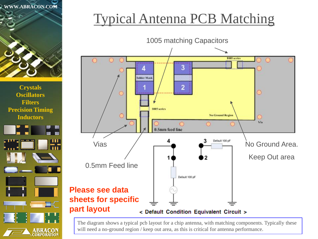



## Typical Antenna PCB Matching



The diagram shows a typical pcb layout for a chip antenna, with matching components. Typically these will need a no-ground region / keep out area, as this is critical for antenna performance.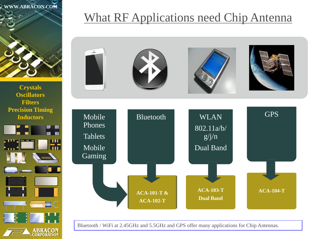



### What RF Applications need Chip Antenna



Bluetooth / WiFi at 2.45GHz and 5.5GHz and GPS offer many applications for Chip Antennas.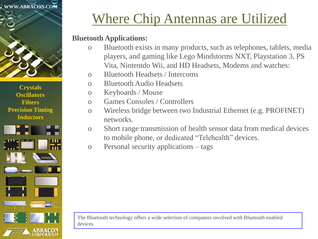



## Where Chip Antennas are Utilized

#### **Bluetooth Applications:**

- o Bluetooth exists in many products, such as telephones, tablets, media players, and gaming like Lego Mindstorms NXT, Playstation 3, PS Vita, Nintentdo Wii, and HD Headsets, Modems and watches:
- o Bluetooth Headsets / Intercoms
- o Bluetooth Audio Headsets
- o Keyboards / Mouse
- o Games Consoles / Controllers
- o Wireless bridge between two Industrial Ethernet (e.g. PROFINET) networks.
- o Short range transmission of health sensor data from medical devices to mobile phone, or dedicated "Telehealth" devices.
- o Personal security applications tags

The Bluetooth technology offers a wide selection of companies involved with Bluetooth enabled devices.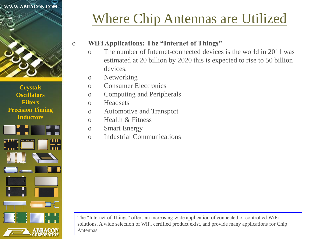



## Where Chip Antennas are Utilized

#### o **WiFi Applications: The "Internet of Things"**

- o The number of Internet-connected devices is the world in 2011 was estimated at 20 billion by 2020 this is expected to rise to 50 billion devices.
- o Networking
- o Consumer Electronics
- o Computing and Peripherals
- o Headsets
- o Automotive and Transport
- o Health & Fitness
- o Smart Energy
- o Industrial Communications

The "Internet of Things" offers an increasing wide application of connected or controlled WiFi solutions. A wide selection of WiFi certified product exist, and provide many applications for Chip Antennas.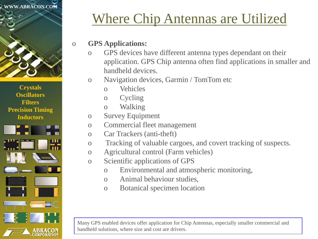



## Where Chip Antennas are Utilized

#### o **GPS Applications:**

- o GPS devices have different antenna types dependant on their application. GPS Chip antenna often find applications in smaller and handheld devices.
- o Navigation devices, Garmin / TomTom etc
	- o Vehicles
	- o Cycling
	- o Walking
- o Survey Equipment
- o Commercial fleet management
- o Car Trackers (anti-theft)
- o Tracking of valuable cargoes, and covert tracking of suspects.
- o Agricultural control (Farm vehicles)
- o Scientific applications of GPS
	- o Environmental and atmospheric monitoring,
	- o Animal behaviour studies,
	- o Botanical specimen location

Many GPS enabled devices offer application for Chip Antennas, especially smaller commercial and handheld solutions, where size and cost are drivers.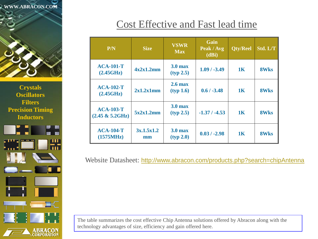



### Cost Effective and Fast lead time

| P/N                                            | <b>Size</b>      | <b>VSWR</b><br><b>Max</b>       | Gain<br>Peak / Avg<br>(dBi) | Qty/Reel       | Std. L/T    |
|------------------------------------------------|------------------|---------------------------------|-----------------------------|----------------|-------------|
| <b>ACA-101-T</b><br>(2.45GHz)                  | 4x2x1.2mm        | 3.0 <sub>max</sub><br>(typ 2.5) | $1.09 / -3.49$              | 1K             | <b>8Wks</b> |
| $ACA-102-T$<br>(2.45GHz)                       | 2x1.2x1mm        | 2.6 <sub>max</sub><br>(typ 1.6) | $0.6 / -3.48$               | 1 <sub>K</sub> | <b>8Wks</b> |
| <b>ACA-103-T</b><br>$(2.45 \& 5.2 \text{GHz})$ | 5x2x1.2mm        | 3.0 <sub>max</sub><br>(typ 2.5) | $-1.37/ -4.53$              | 1K             | <b>8Wks</b> |
| <b>ACA-104-T</b><br>(1575MHz)                  | 3x.1.5x1.2<br>mm | 3.0 <sub>max</sub><br>(typ 2.0) | $0.03 / -2.98$              | 1 <sub>K</sub> | <b>8Wks</b> |

Website Datasheet: <http://www.abracon.com/products.php?search=chipAntenna>

The table summarizes the cost effective Chip Antenna solutions offered by Abracon along with the technology advantages of size, efficiency and gain offered here.